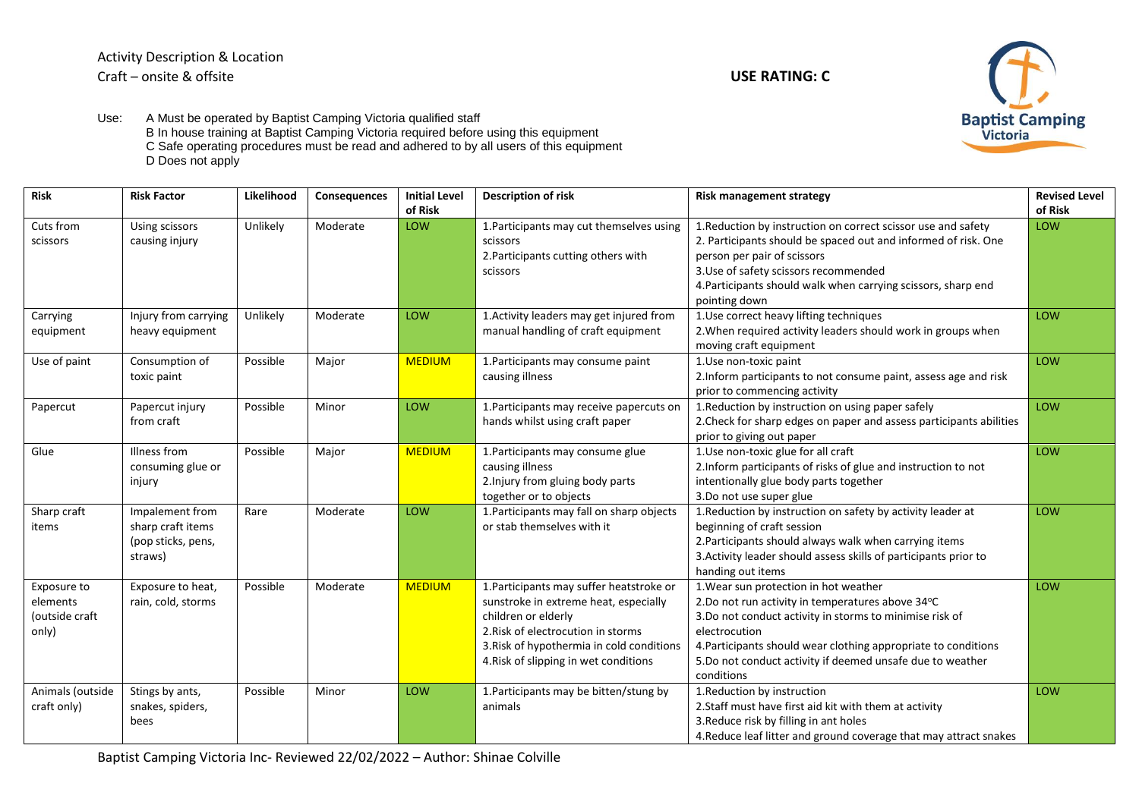

Use: A Must be operated by Baptist Camping Victoria qualified staff B In house training at Baptist Camping Victoria required before using this equipment C Safe operating procedures must be read and adhered to by all users of this equipment D Does not apply

| Risk             | <b>Risk Factor</b>   | Likelihood | <b>Consequences</b> | <b>Initial Level</b> | <b>Description of risk</b>                | <b>Risk management strategy</b>                                     | <b>Revised Level</b> |
|------------------|----------------------|------------|---------------------|----------------------|-------------------------------------------|---------------------------------------------------------------------|----------------------|
|                  |                      |            |                     | of Risk              |                                           |                                                                     | of Risk              |
| Cuts from        | Using scissors       | Unlikely   | Moderate            | LOW                  | 1. Participants may cut themselves using  | 1. Reduction by instruction on correct scissor use and safety       | LOW                  |
| scissors         | causing injury       |            |                     |                      | scissors                                  | 2. Participants should be spaced out and informed of risk. One      |                      |
|                  |                      |            |                     |                      | 2. Participants cutting others with       | person per pair of scissors                                         |                      |
|                  |                      |            |                     |                      | scissors                                  | 3. Use of safety scissors recommended                               |                      |
|                  |                      |            |                     |                      |                                           | 4. Participants should walk when carrying scissors, sharp end       |                      |
|                  |                      |            |                     |                      |                                           | pointing down                                                       |                      |
| Carrying         | Injury from carrying | Unlikely   | Moderate            | LOW                  | 1. Activity leaders may get injured from  | 1. Use correct heavy lifting techniques                             | LOW                  |
| equipment        | heavy equipment      |            |                     |                      | manual handling of craft equipment        | 2. When required activity leaders should work in groups when        |                      |
|                  |                      |            |                     |                      |                                           | moving craft equipment                                              |                      |
| Use of paint     | Consumption of       | Possible   | Major               | <b>MEDIUM</b>        | 1. Participants may consume paint         | 1.Use non-toxic paint                                               | LOW                  |
|                  | toxic paint          |            |                     |                      | causing illness                           | 2. Inform participants to not consume paint, assess age and risk    |                      |
|                  |                      |            |                     |                      |                                           | prior to commencing activity                                        |                      |
| Papercut         | Papercut injury      | Possible   | Minor               | LOW                  | 1. Participants may receive papercuts on  | 1. Reduction by instruction on using paper safely                   | LOW                  |
|                  | from craft           |            |                     |                      | hands whilst using craft paper            | 2. Check for sharp edges on paper and assess participants abilities |                      |
|                  |                      |            |                     |                      |                                           | prior to giving out paper                                           |                      |
| Glue             | Illness from         | Possible   | Major               | <b>MEDIUM</b>        | 1. Participants may consume glue          | 1. Use non-toxic glue for all craft                                 | LOW                  |
|                  | consuming glue or    |            |                     |                      | causing illness                           | 2. Inform participants of risks of glue and instruction to not      |                      |
|                  | injury               |            |                     |                      | 2. Injury from gluing body parts          | intentionally glue body parts together                              |                      |
|                  |                      |            |                     |                      | together or to objects                    | 3.Do not use super glue                                             |                      |
| Sharp craft      | Impalement from      | Rare       | Moderate            | LOW                  | 1. Participants may fall on sharp objects | 1. Reduction by instruction on safety by activity leader at         | LOW                  |
| items            | sharp craft items    |            |                     |                      | or stab themselves with it                | beginning of craft session                                          |                      |
|                  | (pop sticks, pens,   |            |                     |                      |                                           | 2. Participants should always walk when carrying items              |                      |
|                  | straws)              |            |                     |                      |                                           | 3. Activity leader should assess skills of participants prior to    |                      |
|                  |                      |            |                     |                      |                                           | handing out items                                                   |                      |
| Exposure to      | Exposure to heat,    | Possible   | Moderate            | <b>MEDIUM</b>        | 1. Participants may suffer heatstroke or  | 1. Wear sun protection in hot weather                               | LOW                  |
| elements         | rain, cold, storms   |            |                     |                      | sunstroke in extreme heat, especially     | 2.Do not run activity in temperatures above 34°C                    |                      |
| (outside craft   |                      |            |                     |                      | children or elderly                       | 3.Do not conduct activity in storms to minimise risk of             |                      |
| only)            |                      |            |                     |                      | 2. Risk of electrocution in storms        | electrocution                                                       |                      |
|                  |                      |            |                     |                      | 3. Risk of hypothermia in cold conditions | 4. Participants should wear clothing appropriate to conditions      |                      |
|                  |                      |            |                     |                      | 4. Risk of slipping in wet conditions     | 5.Do not conduct activity if deemed unsafe due to weather           |                      |
|                  |                      |            |                     |                      |                                           | conditions                                                          |                      |
| Animals (outside | Stings by ants,      | Possible   | Minor               | LOW                  | 1. Participants may be bitten/stung by    | 1.Reduction by instruction                                          | LOW                  |
| craft only)      | snakes, spiders,     |            |                     |                      | animals                                   | 2. Staff must have first aid kit with them at activity              |                      |
|                  | bees                 |            |                     |                      |                                           | 3. Reduce risk by filling in ant holes                              |                      |
|                  |                      |            |                     |                      |                                           | 4. Reduce leaf litter and ground coverage that may attract snakes   |                      |